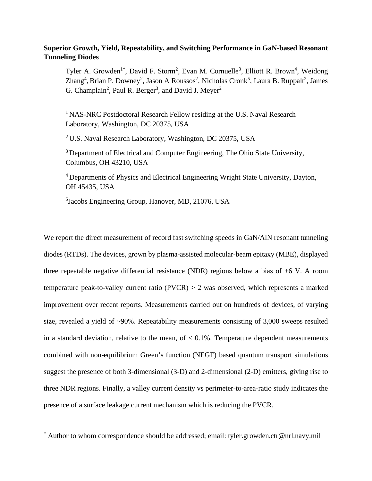## **Superior Growth, Yield, Repeatability, and Switching Performance in GaN-based Resonant Tunneling Diodes**

Tyler A. Growden<sup>1\*</sup>, David F. Storm<sup>2</sup>, Evan M. Cornuelle<sup>3</sup>, Elliott R. Brown<sup>4</sup>, Weidong Zhang<sup>4</sup>, Brian P. Downey<sup>2</sup>, Jason A Roussos<sup>2</sup>, Nicholas Cronk<sup>5</sup>, Laura B. Ruppalt<sup>2</sup>, James G. Champlain<sup>2</sup>, Paul R. Berger<sup>3</sup>, and David J. Meyer<sup>2</sup>

<sup>1</sup> NAS-NRC Postdoctoral Research Fellow residing at the U.S. Naval Research Laboratory, Washington, DC 20375, USA

 $2$ U.S. Naval Research Laboratory, Washington, DC 20375, USA

<sup>3</sup> Department of Electrical and Computer Engineering, The Ohio State University, Columbus, OH 43210, USA

<sup>4</sup> Departments of Physics and Electrical Engineering Wright State University, Dayton, OH 45435, USA

5 Jacobs Engineering Group, Hanover, MD, 21076, USA

We report the direct measurement of record fast switching speeds in GaN/AlN resonant tunneling diodes (RTDs). The devices, grown by plasma-assisted molecular-beam epitaxy (MBE), displayed three repeatable negative differential resistance (NDR) regions below a bias of  $+6$  V. A room temperature peak-to-valley current ratio (PVCR) > 2 was observed, which represents a marked improvement over recent reports. Measurements carried out on hundreds of devices, of varying size, revealed a yield of ~90%. Repeatability measurements consisting of 3,000 sweeps resulted in a standard deviation, relative to the mean, of  $< 0.1\%$ . Temperature dependent measurements combined with non-equilibrium Green's function (NEGF) based quantum transport simulations suggest the presence of both 3-dimensional (3-D) and 2-dimensional (2-D) emitters, giving rise to three NDR regions. Finally, a valley current density vs perimeter-to-area-ratio study indicates the presence of a surface leakage current mechanism which is reducing the PVCR.

\* Author to whom correspondence should be addressed; email: tyler.growden.ctr@nrl.navy.mil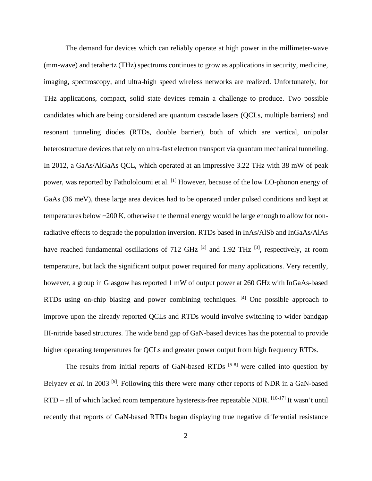The demand for devices which can reliably operate at high power in the millimeter-wave (mm-wave) and terahertz (THz) spectrums continues to grow as applications in security, medicine, imaging, spectroscopy, and ultra-high speed wireless networks are realized. Unfortunately, for THz applications, compact, solid state devices remain a challenge to produce. Two possible candidates which are being considered are quantum cascade lasers (QCLs, multiple barriers) and resonant tunneling diodes (RTDs, double barrier), both of which are vertical, unipolar heterostructure devices that rely on ultra-fast electron transport via quantum mechanical tunneling. In 2012, a GaAs/AlGaAs QCL, which operated at an impressive 3.22 THz with 38 mW of peak power, was reported by Fathololoumi et al. [1] However, because of the low LO-phonon energy of GaAs (36 meV), these large area devices had to be operated under pulsed conditions and kept at temperatures below ~200 K, otherwise the thermal energy would be large enough to allow for nonradiative effects to degrade the population inversion. RTDs based in InAs/AlSb and InGaAs/AlAs have reached fundamental oscillations of 712 GHz  $^{[2]}$  and 1.92 THz  $^{[3]}$ , respectively, at room temperature, but lack the significant output power required for many applications. Very recently, however, a group in Glasgow has reported 1 mW of output power at 260 GHz with InGaAs-based RTDs using on-chip biasing and power combining techniques. <sup>[4]</sup> One possible approach to improve upon the already reported QCLs and RTDs would involve switching to wider bandgap III-nitride based structures. The wide band gap of GaN-based devices has the potential to provide higher operating temperatures for QCLs and greater power output from high frequency RTDs.

The results from initial reports of GaN-based RTDs  $[5-8]$  were called into question by Belyaev *et al.* in 2003<sup>[9]</sup>. Following this there were many other reports of NDR in a GaN-based RTD – all of which lacked room temperature hysteresis-free repeatable NDR. [10-17] It wasn't until recently that reports of GaN-based RTDs began displaying true negative differential resistance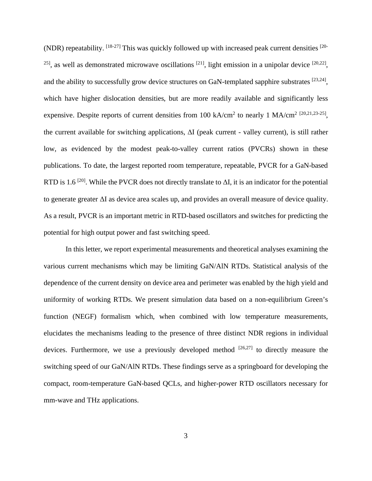(NDR) repeatability.  $[18-27]$  This was quickly followed up with increased peak current densities  $[20 ^{25}$ , as well as demonstrated microwave oscillations  $^{[21]}$ , light emission in a unipolar device  $^{[20,22]}$ , and the ability to successfully grow device structures on GaN-templated sapphire substrates [23,24], which have higher dislocation densities, but are more readily available and significantly less expensive. Despite reports of current densities from 100 kA/cm<sup>2</sup> to nearly 1 MA/cm<sup>2 [20,21,23-25]</sup>, the current available for switching applications, ΔI (peak current - valley current), is still rather low, as evidenced by the modest peak-to-valley current ratios (PVCRs) shown in these publications. To date, the largest reported room temperature, repeatable, PVCR for a GaN-based RTD is 1.6<sup>[20]</sup>. While the PVCR does not directly translate to  $\Delta I$ , it is an indicator for the potential to generate greater ΔI as device area scales up, and provides an overall measure of device quality. As a result, PVCR is an important metric in RTD-based oscillators and switches for predicting the potential for high output power and fast switching speed.

In this letter, we report experimental measurements and theoretical analyses examining the various current mechanisms which may be limiting GaN/AlN RTDs. Statistical analysis of the dependence of the current density on device area and perimeter was enabled by the high yield and uniformity of working RTDs. We present simulation data based on a non-equilibrium Green's function (NEGF) formalism which, when combined with low temperature measurements, elucidates the mechanisms leading to the presence of three distinct NDR regions in individual devices. Furthermore, we use a previously developed method  $[26,27]$  to directly measure the switching speed of our GaN/AlN RTDs. These findings serve as a springboard for developing the compact, room-temperature GaN-based QCLs, and higher-power RTD oscillators necessary for mm-wave and THz applications.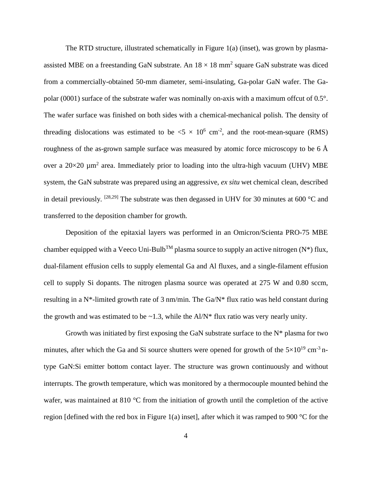The RTD structure, illustrated schematically in Figure 1(a) (inset), was grown by plasmaassisted MBE on a freestanding GaN substrate. An  $18 \times 18$  mm<sup>2</sup> square GaN substrate was diced from a commercially-obtained 50-mm diameter, semi-insulating, Ga-polar GaN wafer. The Gapolar (0001) surface of the substrate wafer was nominally on-axis with a maximum offcut of 0.5°. The wafer surface was finished on both sides with a chemical-mechanical polish. The density of threading dislocations was estimated to be  $\langle 5 \times 10^6 \text{ cm}^2 \rangle$ , and the root-mean-square (RMS) roughness of the as-grown sample surface was measured by atomic force microscopy to be 6 Å over a  $20\times20$  µm<sup>2</sup> area. Immediately prior to loading into the ultra-high vacuum (UHV) MBE system, the GaN substrate was prepared using an aggressive, *ex situ* wet chemical clean, described in detail previously. [28,29] The substrate was then degassed in UHV for 30 minutes at 600 °C and transferred to the deposition chamber for growth.

Deposition of the epitaxial layers was performed in an Omicron/Scienta PRO-75 MBE chamber equipped with a Veeco Uni-Bulb<sup>TM</sup> plasma source to supply an active nitrogen (N<sup>\*</sup>) flux, dual-filament effusion cells to supply elemental Ga and Al fluxes, and a single-filament effusion cell to supply Si dopants. The nitrogen plasma source was operated at 275 W and 0.80 sccm, resulting in a N\*-limited growth rate of 3 nm/min. The Ga/N\* flux ratio was held constant during the growth and was estimated to be  $\sim$ 1.3, while the Al/N\* flux ratio was very nearly unity.

Growth was initiated by first exposing the GaN substrate surface to the  $N^*$  plasma for two minutes, after which the Ga and Si source shutters were opened for growth of the  $5\times10^{19}$  cm<sup>-3</sup> ntype GaN:Si emitter bottom contact layer. The structure was grown continuously and without interrupts. The growth temperature, which was monitored by a thermocouple mounted behind the wafer, was maintained at 810 °C from the initiation of growth until the completion of the active region [defined with the red box in Figure 1(a) inset], after which it was ramped to 900 °C for the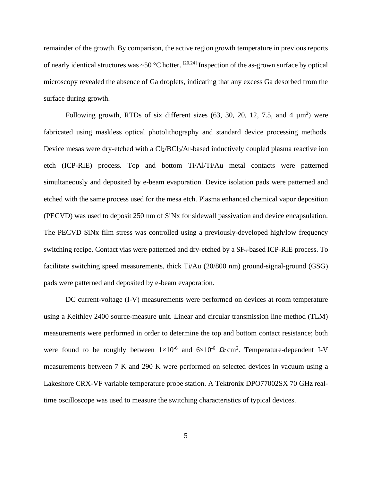remainder of the growth. By comparison, the active region growth temperature in previous reports of nearly identical structures was  $\sim 50$  °C hotter. [20,24] Inspection of the as-grown surface by optical microscopy revealed the absence of Ga droplets, indicating that any excess Ga desorbed from the surface during growth.

Following growth, RTDs of six different sizes  $(63, 30, 20, 12, 7.5,$  and  $4 \mu m^2$ ) were fabricated using maskless optical photolithography and standard device processing methods. Device mesas were dry-etched with a  $Cl_2/BCl_3/Ar$ -based inductively coupled plasma reactive ion etch (ICP-RIE) process. Top and bottom Ti/Al/Ti/Au metal contacts were patterned simultaneously and deposited by e-beam evaporation. Device isolation pads were patterned and etched with the same process used for the mesa etch. Plasma enhanced chemical vapor deposition (PECVD) was used to deposit 250 nm of SiNx for sidewall passivation and device encapsulation. The PECVD SiNx film stress was controlled using a previously-developed high/low frequency switching recipe. Contact vias were patterned and dry-etched by a  $SF<sub>6</sub>$ -based ICP-RIE process. To facilitate switching speed measurements, thick Ti/Au (20/800 nm) ground-signal-ground (GSG) pads were patterned and deposited by e-beam evaporation.

DC current-voltage (I-V) measurements were performed on devices at room temperature using a Keithley 2400 source-measure unit. Linear and circular transmission line method (TLM) measurements were performed in order to determine the top and bottom contact resistance; both were found to be roughly between  $1 \times 10^{-6}$  and  $6 \times 10^{-6}$   $\Omega$ ·cm<sup>2</sup>. Temperature-dependent I-V measurements between 7 K and 290 K were performed on selected devices in vacuum using a Lakeshore CRX-VF variable temperature probe station. A Tektronix DPO77002SX 70 GHz realtime oscilloscope was used to measure the switching characteristics of typical devices.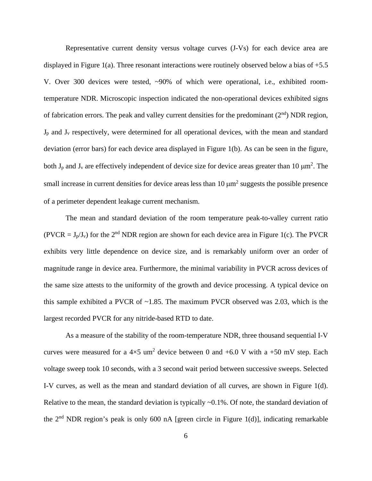Representative current density versus voltage curves (J-Vs) for each device area are displayed in Figure 1(a). Three resonant interactions were routinely observed below a bias of  $+5.5$ V. Over 300 devices were tested, ~90% of which were operational, i.e., exhibited roomtemperature NDR. Microscopic inspection indicated the non-operational devices exhibited signs of fabrication errors. The peak and valley current densities for the predominant  $(2<sup>nd</sup>)$  NDR region,  $J<sub>p</sub>$  and  $J<sub>v</sub>$  respectively, were determined for all operational devices, with the mean and standard deviation (error bars) for each device area displayed in Figure 1(b). As can be seen in the figure, both  $J_p$  and  $J_v$  are effectively independent of device size for device areas greater than 10  $\mu$ m<sup>2</sup>. The small increase in current densities for device areas less than  $10 \mu m^2$  suggests the possible presence of a perimeter dependent leakage current mechanism.

The mean and standard deviation of the room temperature peak-to-valley current ratio (PVCR =  $J_p/J_v$ ) for the 2<sup>nd</sup> NDR region are shown for each device area in Figure 1(c). The PVCR exhibits very little dependence on device size, and is remarkably uniform over an order of magnitude range in device area. Furthermore, the minimal variability in PVCR across devices of the same size attests to the uniformity of the growth and device processing. A typical device on this sample exhibited a PVCR of  $\sim$ 1.85. The maximum PVCR observed was 2.03, which is the largest recorded PVCR for any nitride-based RTD to date.

As a measure of the stability of the room-temperature NDR, three thousand sequential I-V curves were measured for a  $4\times5$  um<sup>2</sup> device between 0 and +6.0 V with a +50 mV step. Each voltage sweep took 10 seconds, with a 3 second wait period between successive sweeps. Selected I-V curves, as well as the mean and standard deviation of all curves, are shown in Figure 1(d). Relative to the mean, the standard deviation is typically  $\sim 0.1\%$ . Of note, the standard deviation of the  $2<sup>nd</sup> NDR region's peak is only 600 nA [green circle in Figure 1(d)], indicating remarkable$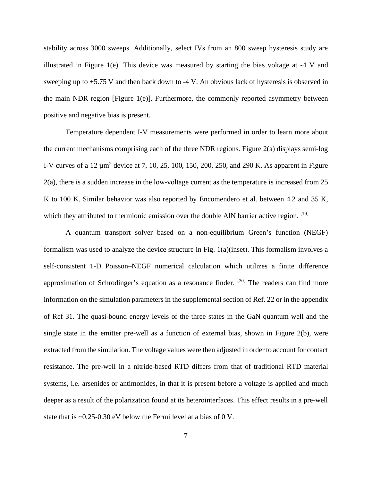stability across 3000 sweeps. Additionally, select IVs from an 800 sweep hysteresis study are illustrated in Figure 1(e). This device was measured by starting the bias voltage at -4 V and sweeping up to +5.75 V and then back down to -4 V. An obvious lack of hysteresis is observed in the main NDR region [Figure 1(e)]. Furthermore, the commonly reported asymmetry between positive and negative bias is present.

Temperature dependent I-V measurements were performed in order to learn more about the current mechanisms comprising each of the three NDR regions. Figure 2(a) displays semi-log I-V curves of a  $12 \mu m^2$  device at 7, 10, 25, 100, 150, 200, 250, and 290 K. As apparent in Figure 2(a), there is a sudden increase in the low-voltage current as the temperature is increased from 25 K to 100 K. Similar behavior was also reported by Encomendero et al. between 4.2 and 35 K, which they attributed to thermionic emission over the double AlN barrier active region. <sup>[19]</sup>

A quantum transport solver based on a non-equilibrium Green's function (NEGF) formalism was used to analyze the device structure in Fig. 1(a)(inset). This formalism involves a self-consistent 1-D Poisson–NEGF numerical calculation which utilizes a finite difference approximation of Schrodinger's equation as a resonance finder. <sup>[30]</sup> The readers can find more information on the simulation parameters in the supplemental section of Ref. 22 or in the appendix of Ref 31. The quasi-bound energy levels of the three states in the GaN quantum well and the single state in the emitter pre-well as a function of external bias, shown in Figure 2(b), were extracted from the simulation. The voltage values were then adjusted in order to account for contact resistance. The pre-well in a nitride-based RTD differs from that of traditional RTD material systems, i.e. arsenides or antimonides, in that it is present before a voltage is applied and much deeper as a result of the polarization found at its heterointerfaces. This effect results in a pre-well state that is ~0.25-0.30 eV below the Fermi level at a bias of 0 V.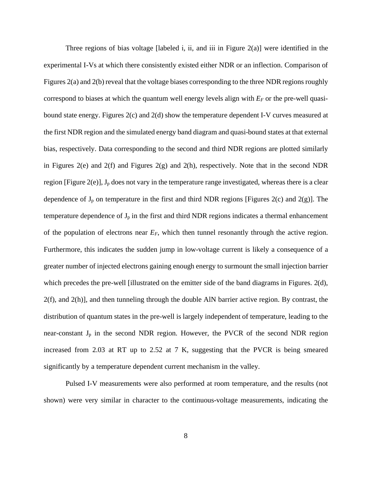Three regions of bias voltage [labeled i, ii, and iii in Figure  $2(a)$ ] were identified in the experimental I-Vs at which there consistently existed either NDR or an inflection. Comparison of Figures 2(a) and 2(b) reveal that the voltage biases corresponding to the three NDR regions roughly correspond to biases at which the quantum well energy levels align with *EF* or the pre-well quasibound state energy. Figures 2(c) and 2(d) show the temperature dependent I-V curves measured at the first NDR region and the simulated energy band diagram and quasi-bound states at that external bias, respectively. Data corresponding to the second and third NDR regions are plotted similarly in Figures 2(e) and 2(f) and Figures 2(g) and 2(h), respectively. Note that in the second NDR region [Figure 2(e)],  $J_p$  does not vary in the temperature range investigated, whereas there is a clear dependence of  $J_p$  on temperature in the first and third NDR regions [Figures 2(c) and 2(g)]. The temperature dependence of  $J_p$  in the first and third NDR regions indicates a thermal enhancement of the population of electrons near *EF*, which then tunnel resonantly through the active region. Furthermore, this indicates the sudden jump in low-voltage current is likely a consequence of a greater number of injected electrons gaining enough energy to surmount the small injection barrier which precedes the pre-well [illustrated on the emitter side of the band diagrams in Figures. 2(d), 2(f), and 2(h)], and then tunneling through the double AlN barrier active region. By contrast, the distribution of quantum states in the pre-well is largely independent of temperature, leading to the near-constant Jp in the second NDR region. However, the PVCR of the second NDR region increased from 2.03 at RT up to 2.52 at 7 K, suggesting that the PVCR is being smeared significantly by a temperature dependent current mechanism in the valley.

Pulsed I-V measurements were also performed at room temperature, and the results (not shown) were very similar in character to the continuous-voltage measurements, indicating the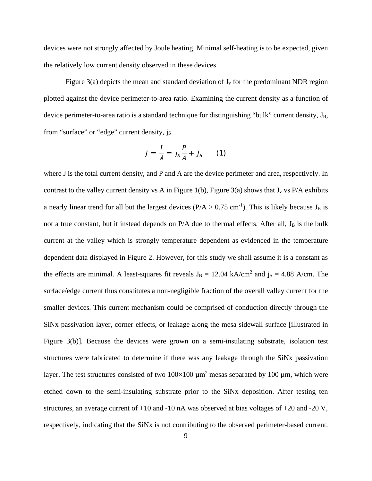devices were not strongly affected by Joule heating. Minimal self-heating is to be expected, given the relatively low current density observed in these devices.

Figure 3(a) depicts the mean and standard deviation of  $J_v$  for the predominant NDR region plotted against the device perimeter-to-area ratio. Examining the current density as a function of device perimeter-to-area ratio is a standard technique for distinguishing "bulk" current density, J<sub>B</sub>, from "surface" or "edge" current density, js

$$
J = \frac{I}{A} = j_S \frac{P}{A} + J_B \qquad (1)
$$

where J is the total current density, and P and A are the device perimeter and area, respectively. In contrast to the valley current density vs A in Figure 1(b), Figure 3(a) shows that  $J_v$  vs P/A exhibits a nearly linear trend for all but the largest devices ( $P/A > 0.75$  cm<sup>-1</sup>). This is likely because J<sub>B</sub> is not a true constant, but it instead depends on  $P/A$  due to thermal effects. After all,  $J_B$  is the bulk current at the valley which is strongly temperature dependent as evidenced in the temperature dependent data displayed in Figure 2. However, for this study we shall assume it is a constant as the effects are minimal. A least-squares fit reveals  $J_B = 12.04 \text{ kA/cm}^2$  and  $j_s = 4.88 \text{ A/cm}$ . The surface/edge current thus constitutes a non-negligible fraction of the overall valley current for the smaller devices. This current mechanism could be comprised of conduction directly through the SiNx passivation layer, corner effects, or leakage along the mesa sidewall surface [illustrated in Figure 3(b)]. Because the devices were grown on a semi-insulating substrate, isolation test structures were fabricated to determine if there was any leakage through the SiNx passivation layer. The test structures consisted of two  $100\times100 \mu m^2$  mesas separated by 100  $\mu$ m, which were etched down to the semi-insulating substrate prior to the SiNx deposition. After testing ten structures, an average current of +10 and -10 nA was observed at bias voltages of +20 and -20 V, respectively, indicating that the SiNx is not contributing to the observed perimeter-based current.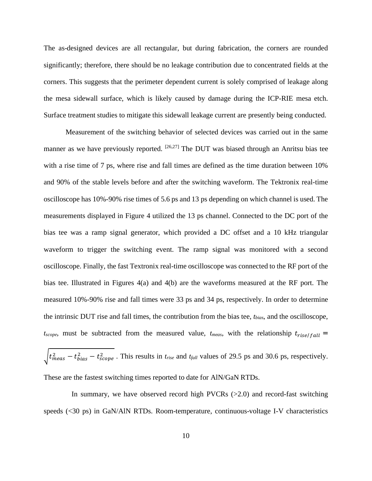The as-designed devices are all rectangular, but during fabrication, the corners are rounded significantly; therefore, there should be no leakage contribution due to concentrated fields at the corners. This suggests that the perimeter dependent current is solely comprised of leakage along the mesa sidewall surface, which is likely caused by damage during the ICP-RIE mesa etch. Surface treatment studies to mitigate this sidewall leakage current are presently being conducted.

Measurement of the switching behavior of selected devices was carried out in the same manner as we have previously reported.  $[26,27]$  The DUT was biased through an Anritsu bias tee with a rise time of 7 ps, where rise and fall times are defined as the time duration between 10% and 90% of the stable levels before and after the switching waveform. The Tektronix real-time oscilloscope has 10%-90% rise times of 5.6 ps and 13 ps depending on which channel is used. The measurements displayed in Figure 4 utilized the 13 ps channel. Connected to the DC port of the bias tee was a ramp signal generator, which provided a DC offset and a 10 kHz triangular waveform to trigger the switching event. The ramp signal was monitored with a second oscilloscope. Finally, the fast Textronix real-time oscilloscope was connected to the RF port of the bias tee. Illustrated in Figures 4(a) and 4(b) are the waveforms measured at the RF port. The measured 10%-90% rise and fall times were 33 ps and 34 ps, respectively. In order to determine the intrinsic DUT rise and fall times, the contribution from the bias tee, *tbias*, and the oscilloscope,  $t_{scope}$ , must be subtracted from the measured value,  $t_{meas}$ , with the relationship  $t_{rise/fall}$ 

 $\int t_{meas}^2 - t_{bias}^2 - t_{scope}^2$ . This results in  $t_{rise}$  and  $t_{fall}$  values of 29.5 ps and 30.6 ps, respectively. These are the fastest switching times reported to date for AlN/GaN RTDs.

In summary, we have observed record high PVCRs  $(>2.0)$  and record-fast switching speeds (<30 ps) in GaN/AlN RTDs. Room-temperature, continuous-voltage I-V characteristics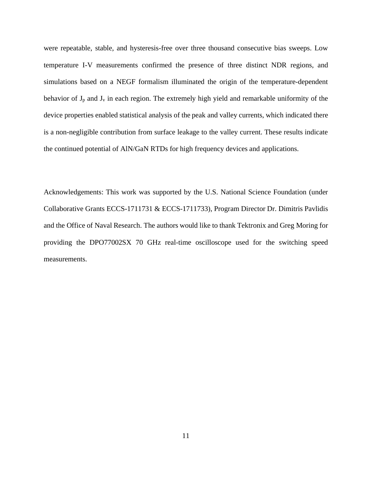were repeatable, stable, and hysteresis-free over three thousand consecutive bias sweeps. Low temperature I-V measurements confirmed the presence of three distinct NDR regions, and simulations based on a NEGF formalism illuminated the origin of the temperature-dependent behavior of  $J_p$  and  $J_v$  in each region. The extremely high yield and remarkable uniformity of the device properties enabled statistical analysis of the peak and valley currents, which indicated there is a non-negligible contribution from surface leakage to the valley current. These results indicate the continued potential of AlN/GaN RTDs for high frequency devices and applications.

Acknowledgements: This work was supported by the U.S. National Science Foundation (under Collaborative Grants ECCS-1711731 & ECCS-1711733), Program Director Dr. Dimitris Pavlidis and the Office of Naval Research. The authors would like to thank Tektronix and Greg Moring for providing the DPO77002SX 70 GHz real-time oscilloscope used for the switching speed measurements.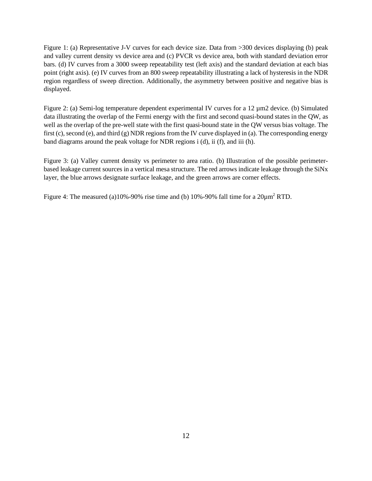Figure 1: (a) Representative J-V curves for each device size. Data from >300 devices displaying (b) peak and valley current density vs device area and (c) PVCR vs device area, both with standard deviation error bars. (d) IV curves from a 3000 sweep repeatability test (left axis) and the standard deviation at each bias point (right axis). (e) IV curves from an 800 sweep repeatability illustrating a lack of hysteresis in the NDR region regardless of sweep direction. Additionally, the asymmetry between positive and negative bias is displayed.

Figure 2: (a) Semi-log temperature dependent experimental IV curves for a 12 µm2 device. (b) Simulated data illustrating the overlap of the Fermi energy with the first and second quasi-bound states in the QW, as well as the overlap of the pre-well state with the first quasi-bound state in the QW versus bias voltage. The first (c), second (e), and third (g) NDR regions from the IV curve displayed in (a). The corresponding energy band diagrams around the peak voltage for NDR regions i (d), ii (f), and iii (h).

Figure 3: (a) Valley current density vs perimeter to area ratio. (b) Illustration of the possible perimeterbased leakage current sources in a vertical mesa structure. The red arrows indicate leakage through the SiNx layer, the blue arrows designate surface leakage, and the green arrows are corner effects.

Figure 4: The measured (a)10%-90% rise time and (b) 10%-90% fall time for a  $20\mu m^2$  RTD.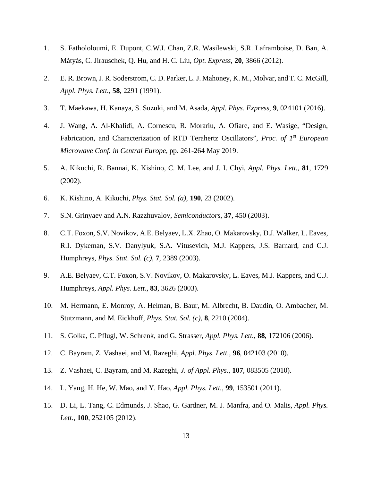- 1. S. Fathololoumi, E. Dupont, C.W.I. Chan, Z.R. Wasilewski, S.R. Laframboise, D. Ban, A. Mátyás, C. Jirauschek, Q. Hu, and H. C. Liu, *Opt. Express*, **20**, 3866 (2012).
- 2. E. R. Brown, J. R. Soderstrom, C. D. Parker, L. J. Mahoney, K. M., Molvar, and T. C. McGill, *Appl. Phys. Lett.*, **58**, 2291 (1991).
- 3. T. Maekawa, H. Kanaya, S. Suzuki, and M. Asada, *Appl. Phys. Express*, **9**, 024101 (2016).
- 4. J. Wang, A. Al-Khalidi, A. Cornescu, R. Morariu, A. Ofiare, and E. Wasige, "Design, Fabrication, and Characterization of RTD Terahertz Oscillators", *Proc. of 1st European Microwave Conf. in Central Europe*, pp. 261-264 May 2019.
- 5. A. Kikuchi, R. Bannai, K. Kishino, C. M. Lee, and J. I. Chyi, *Appl. Phys. Lett.*, **81**, 1729 (2002).
- 6. K. Kishino, A. Kikuchi, *Phys. Stat. Sol. (a)*, **190**, 23 (2002).
- 7. S.N. Grinyaev and A.N. Razzhuvalov, *Semiconductors*, **37**, 450 (2003).
- 8. C.T. Foxon, S.V. Novikov, A.E. Belyaev, L.X. Zhao, O. Makarovsky, D.J. Walker, L. Eaves, R.I. Dykeman, S.V. Danylyuk, S.A. Vitusevich, M.J. Kappers, J.S. Barnard, and C.J. Humphreys, *Phys. Stat. Sol. (c)*, **7**, 2389 (2003).
- 9. A.E. Belyaev, C.T. Foxon, S.V. Novikov, O. Makarovsky, L. Eaves, M.J. Kappers, and C.J. Humphreys, *Appl. Phys. Lett.*, **83**, 3626 (2003).
- 10. M. Hermann, E. Monroy, A. Helman, B. Baur, M. Albrecht, B. Daudin, O. Ambacher, M. Stutzmann, and M. Eickhoff, *Phys. Stat. Sol. (c)*, **8**, 2210 (2004).
- 11. S. Golka, C. Pflugl, W. Schrenk, and G. Strasser, *Appl. Phys. Lett.*, **88**, 172106 (2006).
- 12. C. Bayram, Z. Vashaei, and M. Razeghi, *Appl. Phys. Lett.*, **96**, 042103 (2010).
- 13. Z. Vashaei, C. Bayram, and M. Razeghi, *J. of Appl. Phys.*, **107**, 083505 (2010).
- 14. L. Yang, H. He, W. Mao, and Y. Hao, *Appl. Phys. Lett.*, **99**, 153501 (2011).
- 15. D. Li, L. Tang, C. Edmunds, J. Shao, G. Gardner, M. J. Manfra, and O. Malis, *Appl. Phys. Lett.*, **100**, 252105 (2012).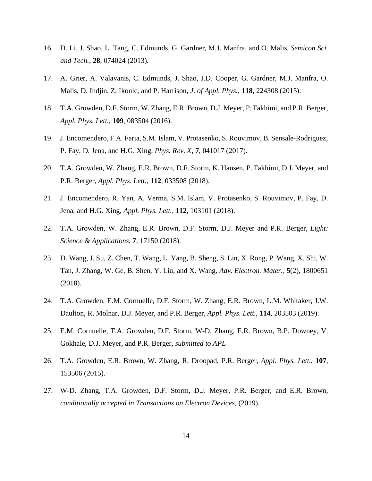- 16. D. Li, J. Shao, L. Tang, C. Edmunds, G. Gardner, M.J. Manfra, and O. Malis, *Semicon Sci. and Tech.*, **28**, 074024 (2013).
- 17. A. Grier, A. Valavanis, C. Edmunds, J. Shao, J.D. Cooper, G. Gardner, M.J. Manfra, O. Malis, D. Indjin, Z. Ikonic, and P. Harrison, *J. of Appl. Phys.*, **118**, 224308 (2015).
- 18. T.A. Growden, D.F. Storm, W. Zhang, E.R. Brown, D.J. Meyer, P. Fakhimi, and P.R. Berger, *Appl. Phys. Lett.*, **109**, 083504 (2016).
- 19. J. Encomendero, F.A. Faria, S.M. Islam, V. Protasenko, S. Rouvimov, B. Sensale-Rodriguez, P. Fay, D. Jena, and H.G. Xing, *Phys. Rev. X*, **7**, 041017 (2017).
- 20. T.A. Growden, W. Zhang, E.R. Brown, D.F. Storm, K. Hansen, P. Fakhimi, D.J. Meyer, and P.R. Berger, *Appl. Phys. Lett.*, **112**, 033508 (2018).
- 21. J. Encomendero, R. Yan, A. Verma, S.M. Islam, V. Protasenko, S. Rouvimov, P. Fay, D. Jena, and H.G. Xing, *Appl. Phys. Lett.*, **112**, 103101 (2018).
- 22. T.A. Growden, W. Zhang, E.R. Brown, D.F. Storm, D.J. Meyer and P.R. Berger, *Light: Science & Applications*, **7**, 17150 (2018).
- 23. D. Wang, J. Su, Z. Chen, T. Wang, L. Yang, B. Sheng, S. Lin, X. Rong, P. Wang, X. Shi, W. Tan, J. Zhang, W. Ge, B. Shen, Y. Liu, and X. Wang, *Adv. Electron. Mater.*, **5**(2), 1800651 (2018).
- 24. T.A. Growden, E.M. Cornuelle, D.F. Storm, W. Zhang, E.R. Brown, L.M. Whitaker, J.W. Daulton, R. Molnar, D.J. Meyer, and P.R. Berger, *Appl. Phys. Lett.*, **114**, 203503 (2019).
- 25. E.M. Cornuelle, T.A. Growden, D.F. Storm, W-D. Zhang, E.R. Brown, B.P. Downey, V. Gokhale, D.J. Meyer, and P.R. Berger, *submitted to APL*
- 26. T.A. Growden, E.R. Brown, W. Zhang, R. Droopad, P.R. Berger, *Appl. Phys. Lett.*, **107**, 153506 (2015).
- 27. W-D. Zhang, T.A. Growden, D.F. Storm, D.J. Meyer, P.R. Berger, and E.R. Brown, *conditionally accepted in Transactions on Electron Devices*, (2019).